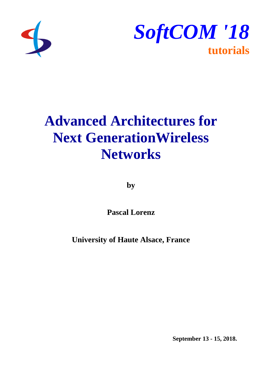



# **Advanced Architectures for Next GenerationWireless Networks**

**by**

**Pascal Lorenz**

**University of Haute Alsace, France**

**September 13 - 15, 2018.**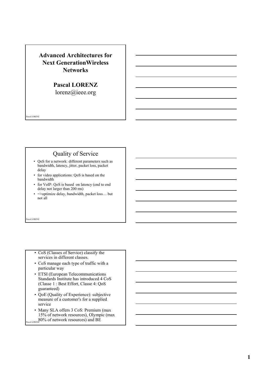# **Advanced Architectures for Next GenerationWireless Networks**

**Pascal LORENZ** lorenz@ieee.org

# Quality of Service

- QoS for a network: different parameters such as bandwidth, latency, jitter, packet loss, packet delay
- for video applications: QoS is based on the bandwidth
- for VoIP: QoS is based on latency (end to end delay not larger than 200 ms)
- = > optimize delay, bandwidth, packet loss... but not all

cal LORENZ

Pascal LORENZ

- CoS (Classes of Service) classify the services in different classes.
- CoS manage each type of traffic with a particular way
- ETSI (European Telecommunications Standards Institute has introduced 4 CoS (Classe 1 : Best Effort, Classe 4: QoS guaranteed)
- QoE (Quality of Experience): subjective measure of a customer's for a supplied service
- $80\%$  of network resources) and BE • Many SLA offers 3 CoS: Premium (max 15% of network resources), Olympic (max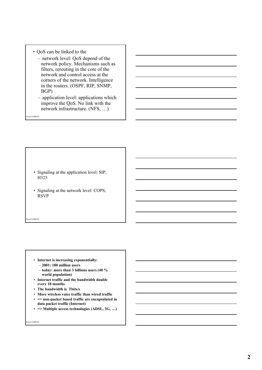- QoS can be linked to the
	- network level: QoS depend of the network policy. Mechanisms such as filters, rerouting in the core of the network and control access at the corners of the network. Intelligence in the routers. (OSPF, RIP, SNMP, BGP)
	- application level: applications which improve the QoS. No link with the network infrastructure. (NFS, …)

Pascal LORENZ

- Signaling at the application level: SIP, H323
- Signaling at the network level: COPS, RSVP

cal LORENZ

- **Internet is increasing exponentially:**
	- **2001: 180 million users**
	- **today: more than 3 billions users (40 % world population)**
- **Internet traffic and the bandwidth double every 18 months**
- **The bandwidth is Tbits/s**
- **More wireless voice traffic than wired traffic**
- **=> non-packet based traffic are encapsulated in data packet traffic (Internet)**
- **=> Multiple access technologies (ADSL, 3G, …)**

<sub>cal</sub> LORENZ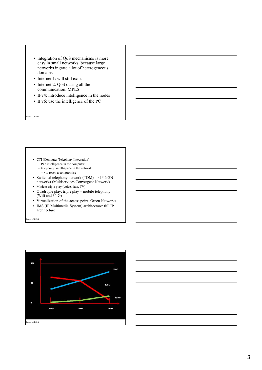- integration of QoS mechanisms is more easy in small networks, because large networks ingrate a lot of heterogeneous domains
- Internet 1: will still exist
- Internet 2: QoS during all the communication. MPLS
- IPv4: introduce intelligence in the nodes
- IPv6: use the intelligence of the PC

Pascal LORENZ

- CTI (Computer Telephony Integration)
	- PC: intelligence in the computer
	- telephony: intelligence in the network
	- $-$  => to reach a compromise
- Switched telephony network (TDM) => IP NGN networks (Multiservices Convergent Network)
- Modem triple play (voice, data, TV)
- Quadruple play: triple play + mobile telephony (Wifi and  $3/4G$ )
- Virtualization of the access point. Green Networks
- IMS (IP Multimedia System) architecture: full IP architecture



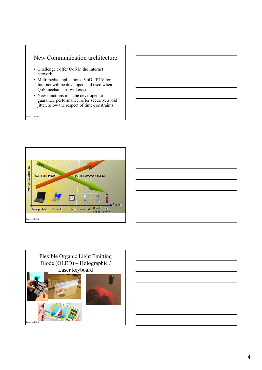# New Communication architecture

- Challenge : offer QoS in the Internet network
- Multimedia applications, VoD, IPTV for Internet will be developed and used when QoS mechanisms will exist
- New functions must be developed to guarantee performance, offer security, avoid jitter, allow the respect of time-constraints, ...

Pascal LORENZ

Pascal LORENZ



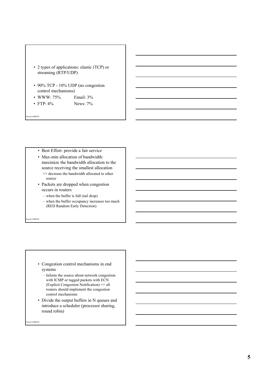

- 90% TCP 10% UDP (no congestion control mechanisms)
- WWW: 75% Email: 3%
- FTP:  $4\%$  News:  $7\%$

Pascal LORENZ

- Best Effort: provide a fair service
- Max-min allocation of bandwidth: maximize the bandwidth allocation to the source receiving the smallest allocation => decrease the bandwidth allocated to other source
- Packets are dropped when congestion occurs in routers
- when the buffer is full (tail drop)
- when the buffer occupancy increases too much (RED Random Early Detection)

cal LORENZ

- Congestion control mechanisms in end systems
	- Inform the source about network congestion with ICMP or tagged packets with ECN (Explicit Congestion Notification) => all routers should implement the congestion control mechanisms
- Divide the output buffers in N queues and introduce a scheduler (processor sharing, round robin)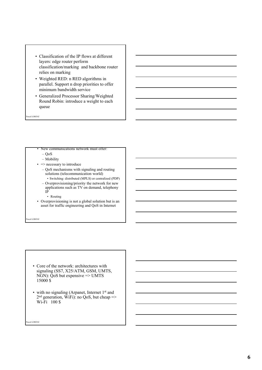- Classification of the IP flows at different layers: edge router perform classification/marking and backbone router relies on marking
- Weighted RED: n RED algorithms in parallel. Support n drop priorities to offer minimum bandwidth service
- Generalized Processor Sharing/Weighted Round Robin: introduce a weight to each queue

Pascal LORENZ

#### • New communications network must offer:

- QoS
- Mobility
- $\Rightarrow$  necessary to introduce
	- QoS mechanisms with signaling and routing solutions (telecommunication world) • Switching: distributed (MPLS) or centralized (PDP)
	- Overprovisioning/priority the network for new applications such as TV on demand, telephony IP
		- Routing
- Overprovisioning is not a global solution but is an asset for traffic engineering and QoS in Internet

cal LORENZ

- Core of the network: architectures with signaling (SS7, X25/ATM, GSM, UMTS, NGN): QoS but expensive => UMTS 15000 \$
- with no signaling (Arpanet, Internet 1<sup>st</sup> and  $2<sup>nd</sup>$  generation, WiFi): no QoS, but cheap => W<sub>i-Fi</sub> 100 \$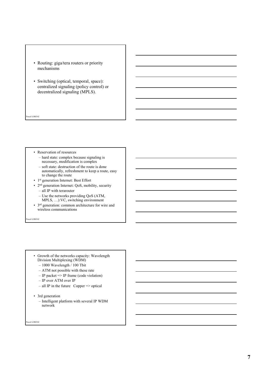- Routing: giga/tera routers or priority mechanisms
- Switching (optical, temporal, space): centralized signaling (policy control) or decentralized signaling (MPLS).
- Pascal LORENZ
	- Reservation of resources
		- hard state: complex because signaling is necessary, modification is complex
		- soft state: destruction of the route is done automatically, refreshment to keep a route, easy to change the route
	- 1st generation Internet: Best Effort
	- 2nd generation Internet: QoS, mobility, security
		- all IP with terarouter
		- Use the networks providing QoS (ATM,
		- MPLS, …):VC, switching environment
	- 3rd generation: common architecture for wire and wireless communications

cal LORENZ

- Growth of the networks capacity: Wavelength Division Multiplexing (WDM)
	- 1000 Wavelength / 100 Tbit
	- ATM not possible with these rate
	- IP packet => IP frame (code violation)
	- IP over ATM over IP
	- $-$  all IP in the future Copper  $\Rightarrow$  optical
- 3rd generation
	- Intelligent platform with several IP WDM network

eal LORENZ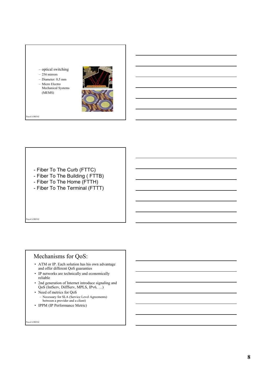#### – optical switching

- $-256$  mirrors
- Diameter: 0,5 mm
- Micro Electro Mechanical Systems (MEMS)



Pascal LORENZ

- Fiber To The Curb (FTTC)
- Fiber To The Building ( FTTB)
- Fiber To The Home (FTTH)
- Fiber To The Terminal (FTTT)

scal LORENZ

# Mechanisms for QoS:

- ATM or IP. Each solution has his own advantage and offer different QoS guaranties
- IP networks are technically and economically reliable
- 2nd generation of Internet introduce signaling and QoS (IntServ, DiffServ, MPLS, IPv6, …)
- Need of metrics for QoS – Necessary for SLA (Service Level Agreements) between a provider and a client)
- IPPM (IP Performance Metric)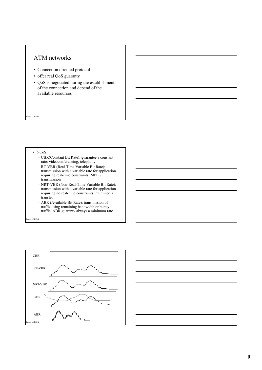# ATM networks

- Connection oriented protocol
- offer real QoS guaranty
- QoS is negotiated during the establishment of the connection and depend of the available resources

Pascal LORENZ

#### • 6 CoS:

- CBR(Constant Bit Rate): guarantee a constant rate: videoconferencing, telephony
- RT-VBR (Real-Time Variable Bit Rate): transmission with a variable rate for application requiring real-time constraints: MPEG transmission
- NRT-VBR (Non-Real-Time Variable Bit Rate): transmission with a variable rate for application requiring no real-time constraints: multimedia transfer
- ABR (Available Bit Rate): transmission of traffic using remaining bandwidth or bursty traffic. ABR guaranty always a minimum rate.



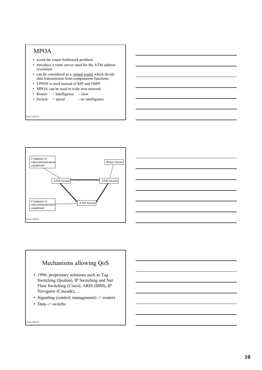# MPOA

Pascal LORENZ

- avoid the router bottleneck problem
- introduce a route server used for the ATM address resolution
- can be considered as a virtual router which divide data transmission from computation functions
- I-PNNI is used instead of RIP and OSPF
- MPOA can be used in wide area network
- Router: + Intelligence slow
- Switch:  $+$  speed no intelligence





# Mechanisms allowing QoS

- 1996: proprietary solutions such as Tag Switching (Ipsilon), IP Switching and Net Flow Switching (Cisco), ARIS (IBM), IP Navigator (Cascade), ...
- Signaling (control, management) -> routers
- Data -> switchs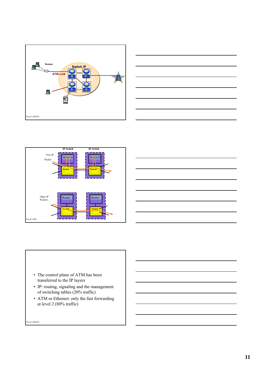







#### • The control plane of ATM has been transferred to the IP layers

- IP: routing, signaling and the management of switching tables (20% traffic)
- ATM or Ethernet: only the fast forwarding at level 2 (80% traffic)

<sub>scal</sub> LORENZ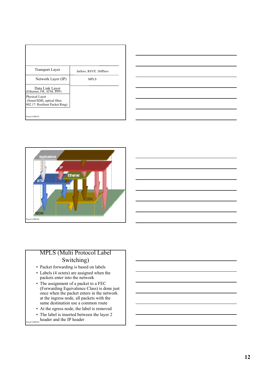| <b>Transport Layer</b>                      | IntServ, RSVP, DiffServ |
|---------------------------------------------|-------------------------|
|                                             |                         |
| Network Layer (IP)                          | MPLS                    |
|                                             |                         |
|                                             |                         |
| Data Link Layer<br>(Ethernet, FR, ATM, PPP) |                         |
| Physical Layer                              |                         |
| (Sonet/SDH, optical fiber,                  |                         |
| 802.17: Resilient Packet Ring)              |                         |
|                                             |                         |
| Pascal LORENZ                               |                         |
|                                             |                         |





# MPLS (Multi Protocol Label Switching)

- Packet forwarding is based on labels
- Labels (4 octets) are assigned when the packets enter into the network
- The assignment of a packet to a FEC (Forwarding Equivalence Class) is done just once when the packet enters in the network at the ingress node, all packets with the same destination use a common route
- At the egress node, the label is removed
- Pascal LORENZ header and the IP header • The label is inserted between the layer 2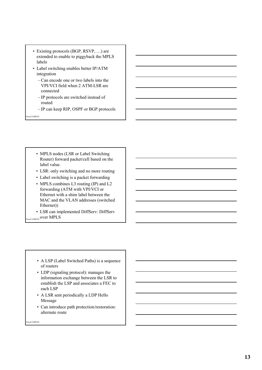- Existing protocols (BGP, RSVP, …) are extended to enable to piggyback the MPLS labels
- Label switching enables better IP/ATM integration
	- Can encode one or two labels into the VPI/VCI field when 2 ATM-LSR are connected
	- IP protocols are switched instead of routed
	- IP can keep RIP, OSPF or BGP protocols

Pascal LORENZ

- MPLS nodes (LSR or Label Switching) Router) forward packet/cell based on the label value.
- LSR: only switching and no more routing
- Label switching is a packet forwarding
- MPLS combines L3 routing (IP) and L2 forwarding (ATM with VPI/VCI or Ethernet with a shim label between the MAC and the VLAN addresses (switched Ethernet))
- Pascal LORENZ OVET MPLS • LSR can implemented DiffServ: DiffServ

- A LSP (Label Switched Paths) is a sequence of routers
- LDP (signaling protocol): manages the information exchange between the LSR to establish the LSP and associates a FEC to each LSP
- A LSR sent periodically a LDP Hello Message
- Can introduce path protection/restoration: alternate route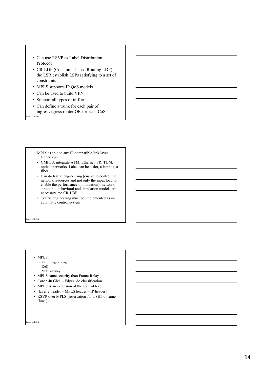- Can use RSVP as Label Distribution Protocol
- CR-LDP (Constraint-based Routing LDP): the LSR establish LSPs satisfying to a set of constraints
- MPLS supports IP QoS models
- Can be used to build VPN
- Support all types of traffic
- Pascal LORENZ • Can define a trunk for each pair of ingress/egress router OR for each CoS

MPLS is able to any IP-compatible link layer technology

- GMPLS: integrate ATM, Ethernet, FR, TDM, optical networks. Label can be a slot, a lambda, a fiber
- Can do traffic engineering (enable to control the network resources and not only the input load to enable the performance optimization): network, structural, behavioral and simulation models are necessary => CR-LDP
- Traffic engineering must be implemented as an automatic control system

cal LORENZ

#### • MPLS:

- traffic engineering
- QoS
- VPN, overlay
- MPLS same security than Frame Relay
- Core : 40 Gb/s Edges: do classification
- MPLS is an extension of the control level
- [layer 2 header MPLS header IP header]
- RSVP over MPLS (reservation for a SET of same flows)

eal LORENZ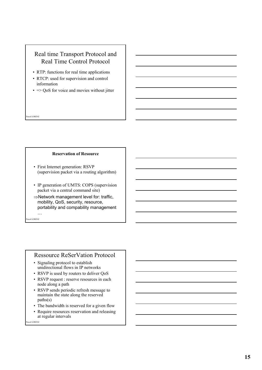# Real time Transport Protocol and Real Time Control Protocol

- RTP: functions for real time applications
- RTCP: used for supervision and control information
- $\cdot$  => QoS for voice and movies without jitter

### **Reservation of Resource**

- First Internet generation: RSVP (supervision packet via a routing algorithm)
- IP generation of UMTS: COPS (supervision packet via a central command site)
- $\Rightarrow$  Network management level for: traffic, mobility, QoS, security, resource, portability and compability management

cal LORENZ

…

Pascal LORENZ

## Ressource ReSerVation Protocol

- Signaling protocol to establish unidirectional flows in IP networks
- RSVP is used by routers to deliver QoS
- RSVP request : reserve resources in each node along a path
- RSVP sends periodic refresh message to maintain the state along the reserved paths(s)
- The bandwidth is reserved for a given flow
- Require resources reservation and releasing at regular intervals

el LORENZ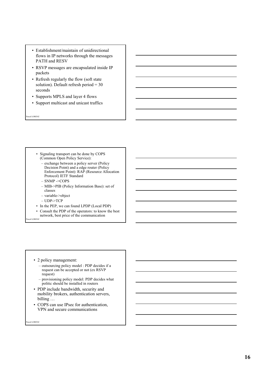- Establishment/maintain of unidirectional flows in IP networks through the messages PATH and RESV
- RSVP messages are encapsulated inside IP packets
- Refresh regularly the flow (soft state solution). Default refresh period = 30 seconds
- Supports MPLS and layer 4 flows
- Support multicast and unicast traffics

Pascal LORENZ

- Signaling transport can be done by COPS (Common Open Policy Service):
	- exchange between a policy server (Policy Decision Point) and a edge router (Policy Enforcement Point): RAP (Resource Allocation Protocol) IETF Standard
	- SNMP ->COPS
	- MIB->PIB (Policy Information Base): set of classes
	- variable->object
	- UDP->TCP
- In the PEP, we can found LPDP (Local PDP)
- cal LORENZ • Consult the PDP of the operators: to know the best network, best price of the communication

- 2 policy management:
	- outsourcing policy model : PDP decides if a request can be accepted or not (ex RSVP request)
	- provisioning policy model: PDP decides what politic should be installed in routers
- PDP include bandwidth, security and mobility brokers, authentication servers, billing …
- COPS can use IPsec for authentication, VPN and secure communications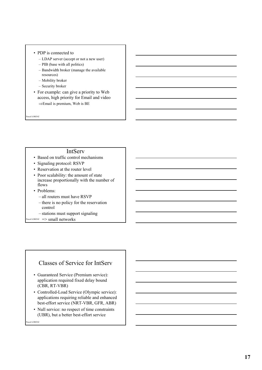#### • PDP is connected to

- LDAP server (accept or not a new user)
- PIB (base with all politics)
- Bandwidth broker (manage the available resources)
- Mobility broker
- Security broker
- For example: can give a priority to Web access, high priority for Email and video  $\Rightarrow$ Email is premium, Web is BE

Pascal LORENZ

#### IntServ

- Based on traffic control mechanisms
- Signaling protocol: RSVP
- Reservation at the router level
- Poor scalability: the amount of state increase proportionally with the number of flows
- Problems:
	- all routers must have RSVP
	- there is no policy for the reservation control
- stations must support signaling
- Pascal LORENZ => small networks

## Classes of Service for IntServ

- Guaranteed Service (Premium service): application required fixed delay bound (CBR, RT-VBR)
- Controlled-Load Service (Olympic service): applications requiring reliable and enhanced best-effort service (NRT-VBR, GFR, ABR)
- Null service: no respect of time constraints (UBR), but a better best-effort service

el LORENZ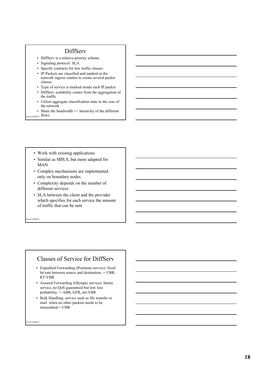## DiffServ

- DiffServ is a relative-priority scheme
- Signaling protocol: SLA
- Specify contracts for few traffic classes
- IP Packets are classified and marked at the network ingress routers to create several packet classes
- Type of service is marked inside each IP packet
- DiffServ scalability comes from the aggregation of the traffic
- Utilize aggregate classification state in the core of the network
- Share the bandwidth => hierarchy of the different
- Pascal LORENZ flows
	- Work with existing applications
	- Similar as MPLS, but more adapted for MAN
	- Complex mechanisms are implemented only on boundary nodes
	- Complexity depends on the number of different services
	- SLA between the client and the provider which specifies for each service the amount of traffic that can be sent

cal LORENZ

## Classes of Service for DiffServ

- Expedited Forwarding (Premium service): fixed bit rate between source and destination -> CBR, RT-VBR
- Assured Forwarding (Olympic service): bursty service, no QoS guaranteed but low loss probability -> ABR, GFR, nrt-VBR
- Bulk Handling: service such as file transfer or mail when no other packets needs to be transmitted-> UBR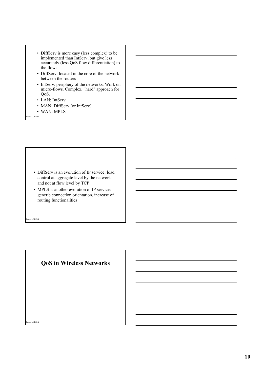- DiffServ is more easy (less complex) to be implemented than IntServ, but give less accurately (less QoS flow differentiation) to the flows
- DiffServ: located in the core of the network between the routers
- IntServ: periphery of the networks. Work on micro-flows. Complex, "hard" approach for QoS.
- LAN: IntServ
- MAN: DiffServ (or IntServ)
- WAN: MPLS
- Pascal LORENZ

- DiffServ is an evolution of IP service: load control at aggregate level by the network and not at flow level by TCP
- MPLS is another evolution of IP service: generic connection orientation, increase of routing functionalities

cal LORENZ

# **QoS in Wireless Networks**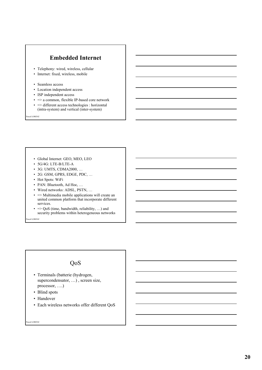# **Embedded Internet**

- Telephony: wired, wireless, cellular
- Internet: fixed, wireless, mobile
- Seamless access
- Location independent access
- ISP independent access
- $\bullet$  => a common, flexible IP-based core network
- => different access technologies : horizontal (intra-system) and vertical (inter-system)

Pascal LORENZ

- Global Internet: GEO, MEO, LEO
- 5G/4G: LTE-B/LTE-A
- 3G: UMTS, CDMA2000, …
- 2G: GSM, GPRS, EDGE, PDC, …
- Hot Spots: WiFi
- PAN: Bluetooth, Ad Hoc, …
- Wired networks: ADSL, PSTN, …
- => Multimedia mobile applications will create an united common platform that incorporate different services.
- $\Rightarrow$  QoS (time, bandwidth, reliability, ...) and security problems within heterogeneous networks

cal LORENZ

# QoS

- Terminals (batterie (hydrogen, supercondensator, …) , screen size, processor, ….)
- Blind spots
- Handover
- Each wireless networks offer different QoS

<sub>cal</sub> LORENZ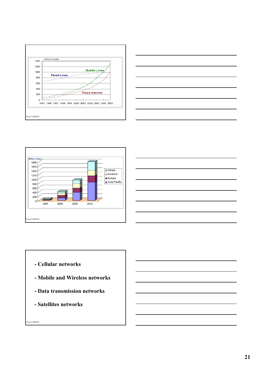







- **Cellular networks**
- **Mobile and Wireless networks**
- **Data transmission networks**
- **Satellites networks**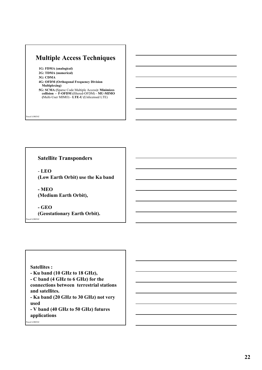# **Multiple Access Techniques**

**1G: FDMA (analogical) 2G: TDMA (numerical) 3G: CDMA 4G: OFDM (Orthogonal Frequency Division Multiplexing) 5G: SCMA (**Sparse Code Multiple Access**): Minimizes collision - F-OFDM (**filtered-OFDM) - **MU-MIMO (**Multi-User MIMO) - **LTE-U (**Unlicensed LTE)

Pascal LORENZ

**Satellite Transponders**

- **LEO (Low Earth Orbit) use the Ka band** 

**- MEO (Medium Earth Orbit),**

scal LORENZ **- GEO (Geostationary Earth Orbit).**

## **Satellites :**

- **Ku band (10 GHz to 18 GHz),**
- **C band (4 GHz to 6 GHz) for the**

**connections between terrestrial stations and satellites.**

**- Ka band (20 GHz to 30 GHz) not very used** 

**- V band (40 GHz to 50 GHz) futures applications**

<sub>cal</sub> LORENZ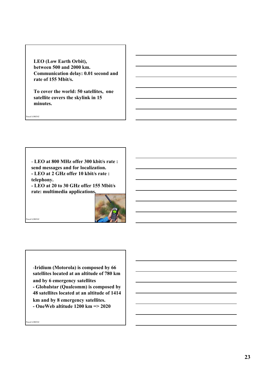**LEO (Low Earth Orbit), between 500 and 2000 km. Communication delay: 0.01 second and rate of 155 Mbit/s.** 

**To cover the world: 50 satellites, one satellite covers the skylink in 15 minutes.**

- **LEO at 800 MHz offer 300 kbit/s rate : send messages and for localization. - LEO at 2 GHz offer 10 kbit/s rate : telephony.**

**- LEO at 20 to 30 GHz offer 155 Mbit/s rate: multimedia applications.**



-**Iridium (Motorola) is composed by 66 satellites located at an altitude of 780 km and by 6 emergency satellites** 

**- Globalstar (Qualcomm) is composed by 48 satellites located at an altitude of 1414** 

**km and by 8 emergency satellites.** 

**- OneWeb altitude 1200 km => 2020**

eal LORENZ

Pascal LORENZ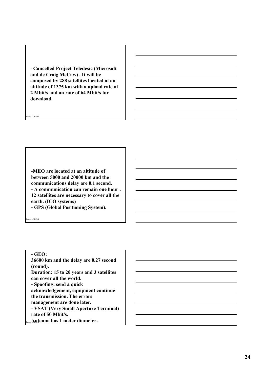- **Cancelled Project Teledesic (Microsoft and de Craig McCaw) . It will be composed by 288 satellites located at an altitude of 1375 km with a upload rate of 2 Mbit/s and an rate of 64 Mbit/s for download.** 

-**MEO are located at an altitude of between 5000 and 20000 km and the communications delay are 0.1 second. - A communication can remain one hour . 12 satellites are necessary to cover all the earth. (ICO systems) - GPS (Global Positioning System).**

cal LORENZ

Pascal LORENZ

## **- GEO:**

Pascal **Antenna has 1 meter diameter. 36600 km and the delay are 0.27 second (round). Duration: 15 to 20 years and 3 satellites can cover all the world. - Spoofing: send a quick acknowledgement, equipment continue the transmission. The errors management are done later. - VSAT (Very Small Aperture Terminal) rate of 50 Mbit/s.**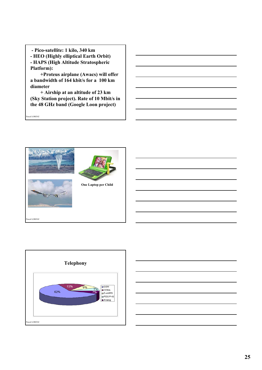**- Pico-satellite: 1 kilo, 340 km - HEO (Highly elliptical Earth Orbit) - HAPS (High Altitude Stratospheric Platform):**

**+Proteus airplane (Awacs) will offer a bandwidth of 164 kbit/s for a 100 km diameter**

**+ Airship at an altitude of 23 km (Sky Station project). Rate of 10 Mbit/s in the 48 GHz band (Google Loon project)**





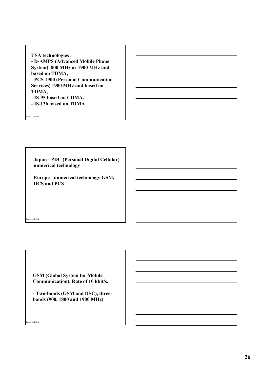**USA technologies : - D-AMPS (Advanced Mobile Phone System) 800 MHz or 1900 MHz and based on TDMA, - PCS 1900 (Personal Communication Services) 1900 MHz and based on TDMA, - IS-95 based on CDMA.**

**- IS-136 based on TDMA**

Pascal LORENZ

cal LORENZ

**Japan - PDC (Personal Digital Cellular) numerical technology**

**Europe - numerical technology GSM, DCS and PCS**

**GSM (Global System for Mobile Communication). Rate of 10 kbit/s.**

**- Two-bands (GSM and DSC), threebands (900, 1800 and 1900 MHz)**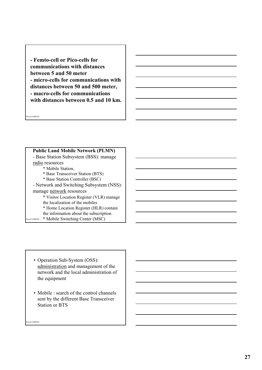**- Femto-cell or Pico-cells for communications with distances between 5 and 50 meter - micro-cells for communications with distances between 50 and 500 meter, - macro-cells for communications with distances between 0.5 and 10 km.**

Pascal LORENZ

#### **Public Land Mobile Network (PLMN)**

- Base Station Subsystem (BSS): manage radio resources \* Mobile Station, \* Base Transceiver Station (BTS) \* Base Station Controller (BSC) - Network and Switching Subsystem (NSS): manage network resources \* Visitor Location Register (VLR) manage the localization of the mobiles \* Home Location Register (HLR) contain the information about the subscription

Pascal LORENZ \* Mobile Switching Center (MSC)

- Operation Sub-System (OSS): administration and management of the network and the local administration of the equipment
- Mobile : search of the control channels sent by the different Base Transceiver Station or BTS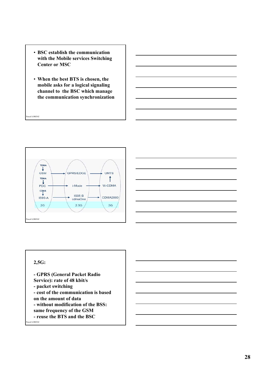- **BSC establish the communication with the Mobile services Switching Center or MSC**
- **When the best BTS is chosen, the mobile asks for a logical signaling channel to the BSC which manage the communication synchronization**





# **2,5G:**

Pascal LORENZ

<sub>cal</sub> LORENZ **- GPRS (General Packet Radio Service): rate of 48 kbit/s - packet switching - cost of the communication is based on the amount of data - without modification of the BSS: same frequency of the GSM - reuse the BTS and the BSC**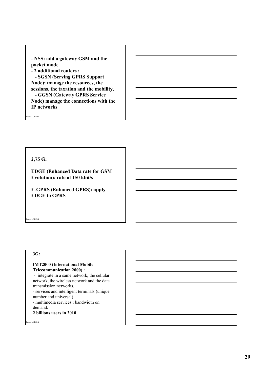- **NSS: add a gateway GSM and the packet mode - 2 additional routers : - SGSN (Serving GPRS Support Node): manage the resources, the sessions, the taxation and the mobility, - GGSN (Gateway GPRS Service Node) manage the connections with the IP networks**

Pascal LORENZ

#### **2,75 G:**

**EDGE (Enhanced Data rate for GSM Evolution): rate of 150 kbit/s** 

**E-GPRS (Enhanced GPRS): apply EDGE to GPRS** 

cal LORENZ

## **3G:**

#### **IMT2000 (International Mobile Telecommunication 2000) :**

- integrate in a same network, the cellular network, the wireless network and the data transmission networks.

- services and intelligent terminals (unique number and universal)

- multimedia services : bandwidth on demand.

**2 billions users in 2010**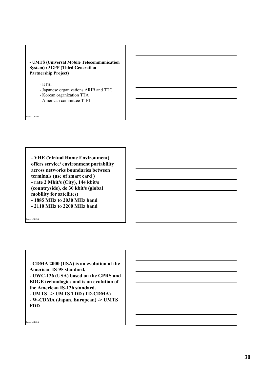#### **- UMTS (Universal Mobile Telecommunication System) : 3GPP (Third Generation Partnership Project)**

- ETSI

- Japanese organizations ARIB and TTC
- Korean organization TTA
- American committee T1P1

Pascal LORENZ

- **VHE (Virtual Home Environment) offers service/ environment portability across networks boundaries between terminals (use of smart card ) - rate 2 Mbit/s (City), 144 kbit/s (countryside), de 30 kbit/s (global mobility for satellites) - 1885 MHz to 2030 MHz band - 2110 MHz to 2200 MHz band** 

cal LORENZ

- **CDMA 2000 (USA) is an evolution of the American IS-95 standard, - UWC-136 (USA) based on the GPRS and EDGE technologies and is an evolution of the American IS-136 standard. - UMTS -> UMTS TDD (TD-CDMA) - W-CDMA (Japan, European) -> UMTS FDD**

Pascal LORENZ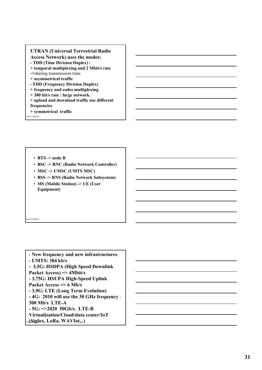#### **UTRAN (Universal Terrestrial Radio Access Network) uses the modes: - TDD (Time Division Duplex) : + temporal multiplexing and 2 Mbit/s rate**

**->**sharing transmission time.

- **+ asymmetrical traffic**
- **FDD (Frequency Division Duplex)**
- **+ frequency and codes multiplexing**
- **+ 380 bit/s rate : large network.**
- **+ upload and download traffic use different frequencies**
- **+ symmetrical traffic**

cal LORENZ

cal LORENZ

- **BTS -> node B**
- **BSC -> RNC (Radio Network Controller)**
- **MSC -> UMSC (UMTS MSC)**
- **BSS -> RNS (Radio Network Subsystem)**
- **MS (Mobile Station) -> UE (User Equipment)**

Pas**(Sigfox, LoRa, WAVIot,..)** - **New frequency and new infrastructures - UMTS: 384 kb/s - 3,5G: HSDPA (High Speed Downlink Packet Access) => 4Mbit/s - 3,75G: HSUPA High-Speed Uplink Packet Access => 6 Mb/s - 3,9G: LTE (Long Term Evolution) - 4G: 2010 will use the 30 GHz frequency** : **300 Mb/s LTE-A - 5G: =>2020 50Gb/s. LTE-B Virtualization/Cloud/data center/IoT**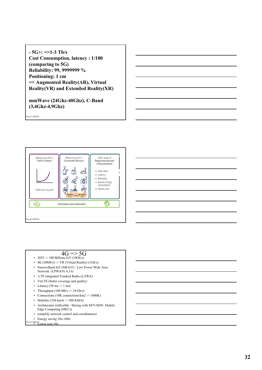**- 5G+: =>1-3 Tb/s Cost Consumption, latency : 1/100 (comparing to 5G) Reliability: 99, 9999999 % Positioning: 1 cm => Augmented Reality(AR), Virtual Reality(VR) and Extended Reality(XR)**

**mmWave (24Ghz-40Ghz), C-Band (3,4Ghz-4,9Ghz)**

Pascal LORENZ





## $4G \Rightarrow 5G$

- 2025 -> 100 Billions IoT (10Gb/s)
- $4K (30Mb/s)$  -> VR (Virtual Reality) (1Gb/s) • NarrowBand IoT (NB-IoT) : Low Power Wide Area Network (LPWAN) 4,5 G
- LTE integrated Trunked Radio (LiTRA)
- VoLTE (better coverage and quality)
- Latency  $(50 \text{ ms} \rightarrow 1 \text{ ms})$
- Throughput (100 Mb/s  $\rightarrow$  10 Gb/s)
- Connections (10K connections/km2 -> 1000K)
- Mobility (350 km/h  $\geq$  500 KM/h)
- Architecture (inflexible –Slicing with NFV/SDN- Mobile Edge Computing (MEC))
- (simplify network control and coordination)
- Energy saving 10x-100x

# • Energy  $\frac{1}{2}$ <br>al LORENZ<br>**• Lower cost 10x**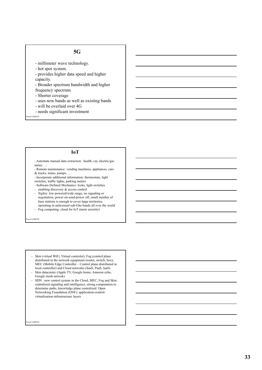## **5G**

- millimeter wave technology.
- hot spot system.
- provides higher data speed and higher capacity.
- Broader spectrum bandwidth and higher
- frequency spectrum
- Shorter coverage
- uses new bands as well as existing bands
- will be overlaid over 4G
- needs significant investment

Pascal LORENZ

#### **IoT**

- Automate manual data extraction: health, car, electric/gas meter, …
- Remote maintenance: vending machines, appliances, cars & trucks, trains, pumps, …
- Incorporate additional information: thermostats, light switches, traffic lights, parking meters
- Software-Defined Mechanics: locks, light switches
- enabling discovery & access control
- Sigfox: low powered/wide range, no signaling or negotiation, power on-send-power off, small number of base stations is enough to cover large territories, operating in unlicensed sub-Ghz bands all over the world
- Fog computing: cloud for IoT (more security)

cal LORENZ

- Skin (virtual WiFi, Virtual controler), Fog (control plane distributed in the network equipment (router, switch, box), MEC (Mobile Edge Controller – Control plane distributed in local controller) and Cloud networks (SaaS, PaaS, IaaS)
- Skin datacenter (Apple TV, Google home, Amazon echo, Google mesh netwok)
- SDN : new control system in the Cloud, MEC, Fog and Skin: centralized signaling and intelligence, strong computation to determine paths, knowledge plane centralized. Open Networking Foundation (ONF): application-controlvirtualization-infrastructure layers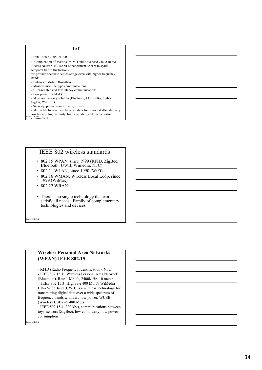#### **IoT**

- Data : since 2005 : x 200
- •- Combination of Massive MIMO and Advanced Cloud Radio Access Network (C-RAN) Enhancement (Adapt to spatio-
- temporal traffic fluctuation) => provide adequate cell coverage even with higher frequency
- bands
- Enhanced Mobile Broadband
- Massive machine type communications
- Ultra-reliable and low latency communications
- Low power (5G-IoT)
- 5G is not the only solution (Bluetooth, LTE, LoRa, Zigbee, Sigfox, WiFi, …)
- Security: public, semi-private, private
- 5G Tactile Internet will be an enabler for remote skillset delivery: low latency, high security, high availability => haptic virtual
- Pascal LORENZ<br>environment

## IEEE 802 wireless standards

- 802.15 WPAN, since 1999 (RFID, ZigBee, Bluetooth, UWB, Wimedia, NFC)
- 802.11 WLAN, since 1990 (WiFi)
- 802.16 WMAN, Wireless Local Loop, since 1999 (WiMax)
- 802.22 WRAN
- There is no single technology that can satisfy all needs . Family of complementary technologies and devices

cal LORENZ

#### **Wireless Personal Area Networks (WPAN) IEEE 802.15**

- RFID (Radio Frequency Identification), NFC

- IEEE 802.15.1 : Wireless Personal Area Network (Bluetooth). Rate 1 Mbit/s, 2400MHz. 10 meters - IEEE 802.15.3: High rate 400 Mbit/s WiMedia Ultra WideBand (UWB) is a wireless technology for transmitting digital data over a wide spectrum of frequency bands with very low power, WUSB (Wireless USB)  $\Rightarrow$  480 Mb/s

- IEEE 802.15.4: 200 kb/s, communications between toys, sensors (ZigBee), low complexity, low power consumption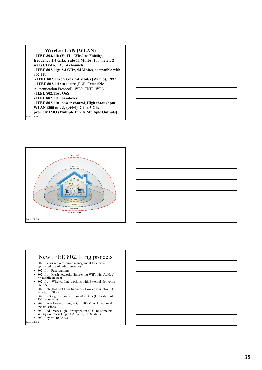#### **Wireless LAN (WLAN)**

**- IEEE 802.11b (WiFi – Wireless Fidelity): frequency 2.4 GHz, rate 11 Mbit/s, 100 meter, 2 walls CDMA/CA, 14 channels - IEEE 802.11g: 2.4 GHz, 54 Mbit/s,** compatible with 802.11b **- IEEE 802.11a : 5 Ghz, 54 Mbit/s (WiFi 5), 1997 - IEEE 802.11i : security** (EAP: Extensible Authentication Protocol), WEP, TKIP, WPA **- IEEE 802.11e : QoS - IEEE 802.11f : handover - IEEE 802.11n: power control, High throughput WLAN (300 mb/s), (e+f+i) 2,4 et 5 Ghz**

cal LORENZ **pre-n: MIMO (Multiple Inputs Multiple Outputs)**



## New IEEE 802.11 ng projects

- 802.11k for radio resource management to achieve optimized use of radio resources
- $802.11r$  Fast roaming
- 802.11s Mesh networks (improving WiFi with AdHoc) => mobile hotspot
- 802.11u Wireless Interworking with External Networks (WIEN)
- 802.11ah (HaLow) Low frequency Low consumption 1km smartgrid. Slow
- 802.11af Cognitive radio 10 or 20 meters (Utilization of TV frequencies)
- 802.11ac Beamforming <6Ghz 500 Mb/s. Directional transmissions
- 802.11ad Very High Throughput in 60 GHz 10 meters. WiGig (Wireless Gigabit Alliance) => 6 Gbit/s
- al LORENZ • 802.11ay =  $> 40$  Gbit/s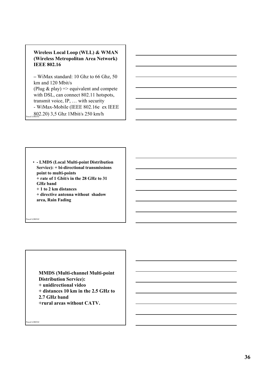## **Wireless Local Loop (WLL) & WMAN (Wireless Metropolitan Area Network) IEEE 802.16**

**802.20)** 3,5 Ghz 1Mbit/s 250 km/h **–** WiMax standard: 10 Ghz to 66 Ghz, 50 km and 120 Mbit/s (Plug & play)  $\Rightarrow$  equivalent and compete with DSL, can connect 802.11 hotspots, transmit voice, IP, … with security - WiMax-Mobile (IEEE 802.16e ex IEEE

• **- LMDS (Local Multi-point Distribution Service): + bi-directional transmissions point to multi-points + rate of 1 Gbit/s in the 28 GHz to 31 GHz band + 1 to 2 km distances + directive antenna without shadow area, Rain Fading**

**MMDS (Multi-channel Multi-point Distribution Service): + unidirectional video + distances 10 km in the 2.5 GHz to 2.7 GHz band +rural areas without CATV.**

eal LORENZ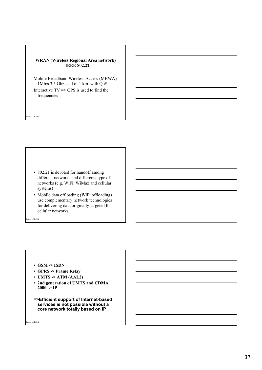#### **WRAN (Wireless Regional Area network) IEEE 802.22**

Mobile Broadband Wireless Access (MBWA) 1Mb/s 3,5 Ghz, cell of 1 km with QoS Interactive  $TV \Rightarrow$  GPS is used to find the frequencies

- 802.21 is devoted for handoff among different networks and differents type of networks (e.g. WiFi, WiMax and cellular systems)
- Mobile data offloading (WiFi offloading) use complementary network technologies for delivering data originally targeted for cellular networks.

cal LORENZ

Pascal LORENZ

- **GSM -> ISDN**
- **GPRS -> Frame Relay**
- **UMTS -> ATM (AAL2)**
- **2nd generation of UMTS and CDMA**   $2000 - P$
- **=>Efficient support of Internet-based services is not possible without a core network totally based on IP**

eal LORENZ